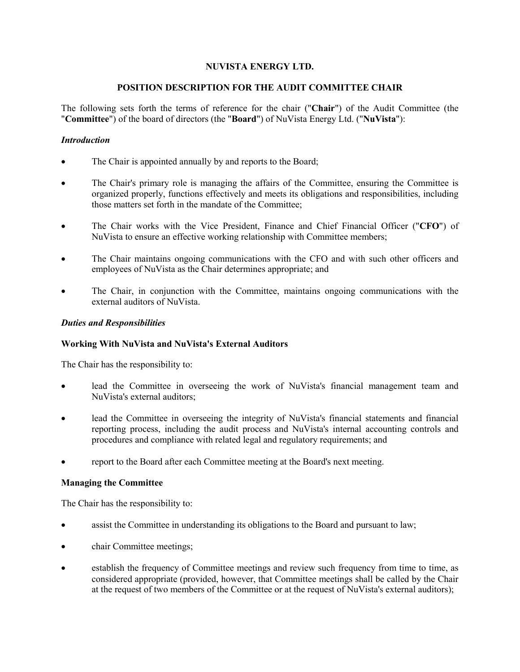# **NUVISTA ENERGY LTD.**

# **POSITION DESCRIPTION FOR THE AUDIT COMMITTEE CHAIR**

The following sets forth the terms of reference for the chair ("**Chair**") of the Audit Committee (the "**Committee**") of the board of directors (the "**Board**") of NuVista Energy Ltd. ("**NuVista**"):

# *Introduction*

- The Chair is appointed annually by and reports to the Board;
- The Chair's primary role is managing the affairs of the Committee, ensuring the Committee is organized properly, functions effectively and meets its obligations and responsibilities, including those matters set forth in the mandate of the Committee;
- The Chair works with the Vice President, Finance and Chief Financial Officer ("**CFO**") of NuVista to ensure an effective working relationship with Committee members;
- The Chair maintains ongoing communications with the CFO and with such other officers and employees of NuVista as the Chair determines appropriate; and
- The Chair, in conjunction with the Committee, maintains ongoing communications with the external auditors of NuVista.

### *Duties and Responsibilities*

### **Working With NuVista and NuVista's External Auditors**

The Chair has the responsibility to:

- lead the Committee in overseeing the work of NuVista's financial management team and NuVista's external auditors;
- lead the Committee in overseeing the integrity of NuVista's financial statements and financial reporting process, including the audit process and NuVista's internal accounting controls and procedures and compliance with related legal and regulatory requirements; and
- report to the Board after each Committee meeting at the Board's next meeting.

### **Managing the Committee**

The Chair has the responsibility to:

- assist the Committee in understanding its obligations to the Board and pursuant to law;
- chair Committee meetings;
- establish the frequency of Committee meetings and review such frequency from time to time, as considered appropriate (provided, however, that Committee meetings shall be called by the Chair at the request of two members of the Committee or at the request of NuVista's external auditors);